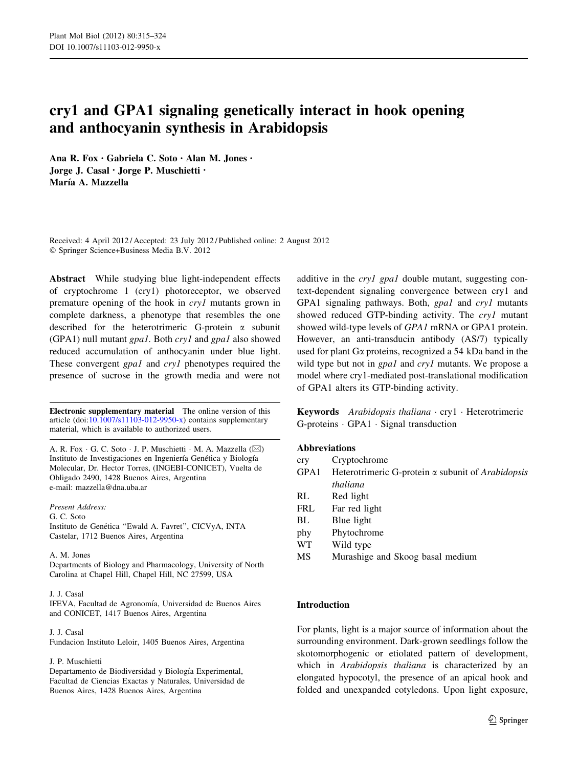# cry1 and GPA1 signaling genetically interact in hook opening and anthocyanin synthesis in Arabidopsis

Ana R. Fox • Gabriela C. Soto • Alan M. Jones • Jorge J. Casal • Jorge P. Muschietti • María A. Mazzella

Received: 4 April 2012 / Accepted: 23 July 2012 / Published online: 2 August 2012 - Springer Science+Business Media B.V. 2012

Abstract While studying blue light-independent effects of cryptochrome 1 (cry1) photoreceptor, we observed premature opening of the hook in cry1 mutants grown in complete darkness, a phenotype that resembles the one described for the heterotrimeric G-protein  $\alpha$  subunit (GPA1) null mutant  $gpal$ . Both  $cryl$  and  $gpal$  also showed reduced accumulation of anthocyanin under blue light. These convergent *gpa1* and *cry1* phenotypes required the presence of sucrose in the growth media and were not

Electronic supplementary material The online version of this article (doi: $10.1007/s11103-012-9950-x$ ) contains supplementary material, which is available to authorized users.

A. R. Fox  $\cdot$  G. C. Soto  $\cdot$  J. P. Muschietti  $\cdot$  M. A. Mazzella ( $\boxtimes$ ) Instituto de Investigaciones en Ingeniería Genética y Biología Molecular, Dr. Hector Torres, (INGEBI-CONICET), Vuelta de Obligado 2490, 1428 Buenos Aires, Argentina e-mail: mazzella@dna.uba.ar

## Present Address:

G. C. Soto Instituto de Genética "Ewald A. Favret", CICVyA, INTA Castelar, 1712 Buenos Aires, Argentina

#### A. M. Jones

Departments of Biology and Pharmacology, University of North Carolina at Chapel Hill, Chapel Hill, NC 27599, USA

#### J. J. Casal

IFEVA, Facultad de Agronomía, Universidad de Buenos Aires and CONICET, 1417 Buenos Aires, Argentina

#### J. J. Casal

Fundacion Instituto Leloir, 1405 Buenos Aires, Argentina

#### J. P. Muschietti

Departamento de Biodiversidad y Biología Experimental, Facultad de Ciencias Exactas y Naturales, Universidad de Buenos Aires, 1428 Buenos Aires, Argentina

additive in the *cryl gpal* double mutant, suggesting context-dependent signaling convergence between cry1 and GPA1 signaling pathways. Both, gpa1 and cry1 mutants showed reduced GTP-binding activity. The cry1 mutant showed wild-type levels of GPA1 mRNA or GPA1 protein. However, an anti-transducin antibody (AS/7) typically used for plant Ga proteins, recognized a 54 kDa band in the wild type but not in *gpa1* and *cry1* mutants. We propose a model where cry1-mediated post-translational modification of GPA1 alters its GTP-binding activity.

Keywords Arabidopsis thaliana · cryl · Heterotrimeric G-proteins - GPA1 - Signal transduction

## Abbreviations

- cry Cryptochrome
- GPA1 Heterotrimeric G-protein  $\alpha$  subunit of Arabidopsis thaliana
- RL Red light
- FRL Far red light
- BL Blue light
- phy Phytochrome
- WT Wild type
- MS Murashige and Skoog basal medium

## Introduction

For plants, light is a major source of information about the surrounding environment. Dark-grown seedlings follow the skotomorphogenic or etiolated pattern of development, which in Arabidopsis thaliana is characterized by an elongated hypocotyl, the presence of an apical hook and folded and unexpanded cotyledons. Upon light exposure,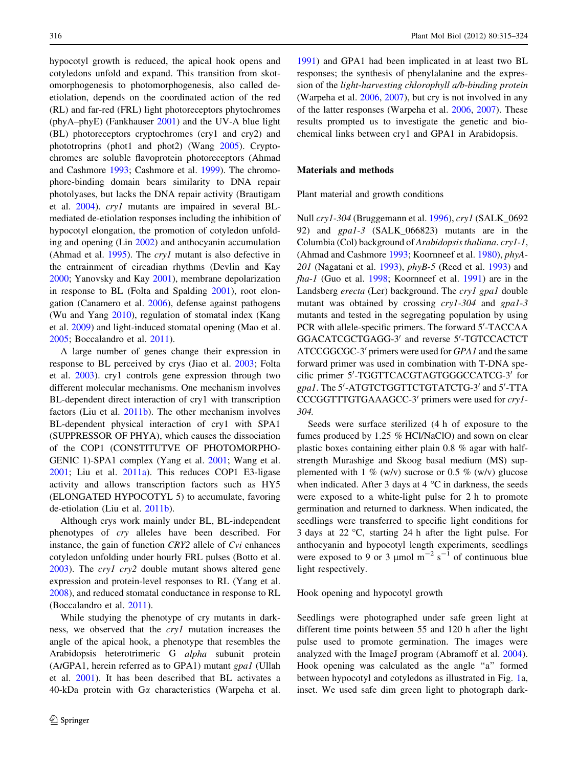hypocotyl growth is reduced, the apical hook opens and cotyledons unfold and expand. This transition from skotomorphogenesis to photomorphogenesis, also called deetiolation, depends on the coordinated action of the red (RL) and far-red (FRL) light photoreceptors phytochromes (phyA–phyE) (Fankhauser [2001\)](#page-8-0) and the UV-A blue light (BL) photoreceptors cryptochromes (cry1 and cry2) and phototroprins (phot1 and phot2) (Wang [2005\)](#page-8-0). Cryptochromes are soluble flavoprotein photoreceptors (Ahmad and Cashmore [1993;](#page-7-0) Cashmore et al. [1999\)](#page-7-0). The chromophore-binding domain bears similarity to DNA repair photolyases, but lacks the DNA repair activity (Brautigam et al. [2004](#page-7-0)). cry1 mutants are impaired in several BLmediated de-etiolation responses including the inhibition of hypocotyl elongation, the promotion of cotyledon unfolding and opening (Lin [2002](#page-8-0)) and anthocyanin accumulation (Ahmad et al. [1995\)](#page-7-0). The cry1 mutant is also defective in the entrainment of circadian rhythms (Devlin and Kay [2000;](#page-7-0) Yanovsky and Kay [2001\)](#page-9-0), membrane depolarization in response to BL (Folta and Spalding [2001](#page-8-0)), root elongation (Canamero et al. [2006\)](#page-7-0), defense against pathogens (Wu and Yang [2010](#page-9-0)), regulation of stomatal index (Kang et al. [2009\)](#page-8-0) and light-induced stomatal opening (Mao et al. [2005;](#page-8-0) Boccalandro et al. [2011\)](#page-7-0).

A large number of genes change their expression in response to BL perceived by crys (Jiao et al. [2003](#page-8-0); Folta et al. [2003](#page-8-0)). cry1 controls gene expression through two different molecular mechanisms. One mechanism involves BL-dependent direct interaction of cry1 with transcription factors (Liu et al. [2011b\)](#page-8-0). The other mechanism involves BL-dependent physical interaction of cry1 with SPA1 (SUPPRESSOR OF PHYA), which causes the dissociation of the COP1 (CONSTITUTVE OF PHOTOMORPHO-GENIC 1)-SPA1 complex (Yang et al. [2001](#page-9-0); Wang et al. [2001;](#page-8-0) Liu et al. [2011a\)](#page-8-0). This reduces COP1 E3-ligase activity and allows transcription factors such as HY5 (ELONGATED HYPOCOTYL 5) to accumulate, favoring de-etiolation (Liu et al. [2011b](#page-8-0)).

Although crys work mainly under BL, BL-independent phenotypes of cry alleles have been described. For instance, the gain of function CRY2 allele of Cvi enhances cotyledon unfolding under hourly FRL pulses (Botto et al. [2003\)](#page-7-0). The cry1 cry2 double mutant shows altered gene expression and protein-level responses to RL (Yang et al. [2008\)](#page-9-0), and reduced stomatal conductance in response to RL (Boccalandro et al. [2011](#page-7-0)).

While studying the phenotype of cry mutants in darkness, we observed that the cry1 mutation increases the angle of the apical hook, a phenotype that resembles the Arabidopsis heterotrimeric G alpha subunit protein (AtGPA1, herein referred as to GPA1) mutant gpa1 (Ullah et al. [2001](#page-8-0)). It has been described that BL activates a 40-kDa protein with Ga characteristics (Warpeha et al.

[1991](#page-8-0)) and GPA1 had been implicated in at least two BL responses; the synthesis of phenylalanine and the expression of the light-harvesting chlorophyll a/b-binding protein (Warpeha et al. [2006](#page-8-0), [2007](#page-8-0)), but cry is not involved in any of the latter responses (Warpeha et al. [2006,](#page-8-0) [2007](#page-8-0)). These results prompted us to investigate the genetic and biochemical links between cry1 and GPA1 in Arabidopsis.

# Materials and methods

Plant material and growth conditions

Null cry1-304 (Bruggemann et al. [1996](#page-7-0)), cry1 (SALK\_0692 92) and gpa1-3 (SALK\_066823) mutants are in the Columbia (Col) background of Arabidopsis thaliana. cry1-1, (Ahmad and Cashmore [1993;](#page-7-0) Koornneef et al. [1980](#page-8-0)), phyA-201 (Nagatani et al. [1993\)](#page-8-0), phyB-5 (Reed et al. [1993](#page-8-0)) and fha-1 (Guo et al. [1998;](#page-8-0) Koornneef et al. [1991](#page-8-0)) are in the Landsberg erecta (Ler) background. The cry1 gpa1 double mutant was obtained by crossing cry1-304 and gpa1-3 mutants and tested in the segregating population by using PCR with allele-specific primers. The forward 5'-TACCAA GGACATCGCTGAGG-3' and reverse 5'-TGTCCACTCT ATCCGGCGC-3 $'$  primers were used for GPA1 and the same forward primer was used in combination with T-DNA specific primer 5'-TGGTTCACGTAGTGGGCCATCG-3' for gpa1. The 5'-ATGTCTGGTTCTGTATCTG-3' and 5'-TTA CCCGGTTTGTGAAAGCC-3' primers were used for  $cryl$ -304.

Seeds were surface sterilized (4 h of exposure to the fumes produced by 1.25 % HCl/NaClO) and sown on clear plastic boxes containing either plain 0.8 % agar with halfstrength Murashige and Skoog basal medium (MS) supplemented with 1 % (w/v) sucrose or 0.5 % (w/v) glucose when indicated. After 3 days at 4  $\degree$ C in darkness, the seeds were exposed to a white-light pulse for 2 h to promote germination and returned to darkness. When indicated, the seedlings were transferred to specific light conditions for 3 days at  $22 \text{ °C}$ , starting  $24 \text{ h}$  after the light pulse. For anthocyanin and hypocotyl length experiments, seedlings were exposed to 9 or 3 µmol  $m^{-2}$  s<sup>-1</sup> of continuous blue light respectively.

Hook opening and hypocotyl growth

Seedlings were photographed under safe green light at different time points between 55 and 120 h after the light pulse used to promote germination. The images were analyzed with the ImageJ program (Abramoff et al. [2004](#page-7-0)). Hook opening was calculated as the angle "a" formed between hypocotyl and cotyledons as illustrated in Fig. [1](#page-2-0)a, inset. We used safe dim green light to photograph dark-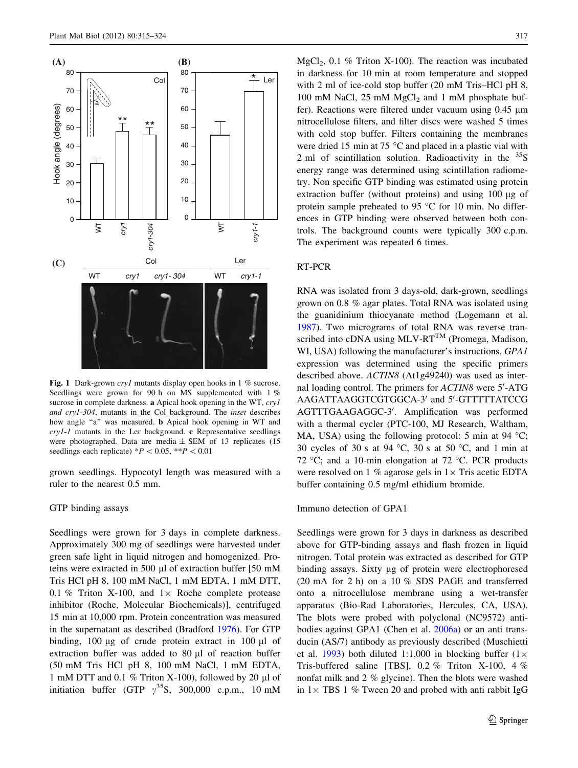<span id="page-2-0"></span>

Fig. 1 Dark-grown *cryl* mutants display open hooks in 1 % sucrose. Seedlings were grown for 90 h on MS supplemented with 1 % sucrose in complete darkness. a Apical hook opening in the WT, cryl and cry1-304, mutants in the Col background. The inset describes how angle "a" was measured. **b** Apical hook opening in WT and cry1-1 mutants in the Ler background. c Representative seedlings were photographed. Data are media  $\pm$  SEM of 13 replicates (15 seedlings each replicate)  $*P < 0.05$ ,  $**P < 0.01$ 

grown seedlings. Hypocotyl length was measured with a ruler to the nearest 0.5 mm.

#### GTP binding assays

Seedlings were grown for 3 days in complete darkness. Approximately 300 mg of seedlings were harvested under green safe light in liquid nitrogen and homogenized. Proteins were extracted in 500  $\mu$ l of extraction buffer [50 mM Tris HCl pH 8, 100 mM NaCl, 1 mM EDTA, 1 mM DTT, 0.1 % Triton X-100, and  $1 \times$  Roche complete protease inhibitor (Roche, Molecular Biochemicals)], centrifuged 15 min at 10,000 rpm. Protein concentration was measured in the supernatant as described (Bradford [1976\)](#page-7-0). For GTP binding,  $100 \mu$ g of crude protein extract in  $100 \mu$ l of extraction buffer was added to  $80 \mu l$  of reaction buffer (50 mM Tris HCl pH 8, 100 mM NaCl, 1 mM EDTA, 1 mM DTT and 0.1 % Triton X-100), followed by 20  $\mu$ l of initiation buffer (GTP  $\gamma^{35}$ S, 300,000 c.p.m., 10 mM

MgCl<sub>2</sub>, 0.1 % Triton X-100). The reaction was incubated in darkness for 10 min at room temperature and stopped with 2 ml of ice-cold stop buffer (20 mM Tris–HCl pH 8, 100 mM NaCl,  $25 \text{ mM } MgCl_2$  and 1 mM phosphate buffer). Reactions were filtered under vacuum using  $0.45 \mu m$ nitrocellulose filters, and filter discs were washed 5 times with cold stop buffer. Filters containing the membranes were dried 15 min at 75  $\degree$ C and placed in a plastic vial with 2 ml of scintillation solution. Radioactivity in the  $35S$ energy range was determined using scintillation radiometry. Non specific GTP binding was estimated using protein extraction buffer (without proteins) and using 100 µg of protein sample preheated to 95  $^{\circ}$ C for 10 min. No differences in GTP binding were observed between both controls. The background counts were typically 300 c.p.m. The experiment was repeated 6 times.

## RT-PCR

RNA was isolated from 3 days-old, dark-grown, seedlings grown on 0.8 % agar plates. Total RNA was isolated using the guanidinium thiocyanate method (Logemann et al. [1987](#page-8-0)). Two micrograms of total RNA was reverse transcribed into cDNA using MLV-RT<sup>TM</sup> (Promega, Madison, WI, USA) following the manufacturer's instructions. GPA1 expression was determined using the specific primers described above. ACTIN8 (At1g49240) was used as internal loading control. The primers for ACTIN8 were 5'-ATG AAGATTAAGGTCGTGGCA-3' and 5'-GTTTTTATCCG AGTTTGAAGAGGC-3'. Amplification was performed with a thermal cycler (PTC-100, MJ Research, Waltham, MA, USA) using the following protocol: 5 min at 94  $^{\circ}$ C; 30 cycles of 30 s at 94 °C, 30 s at 50 °C, and 1 min at 72 °C; and a 10-min elongation at 72 °C. PCR products were resolved on 1 % agarose gels in  $1 \times$  Tris acetic EDTA buffer containing 0.5 mg/ml ethidium bromide.

#### Immuno detection of GPA1

Seedlings were grown for 3 days in darkness as described above for GTP-binding assays and flash frozen in liquid nitrogen. Total protein was extracted as described for GTP binding assays. Sixty µg of protein were electrophoresed (20 mA for 2 h) on a 10 % SDS PAGE and transferred onto a nitrocellulose membrane using a wet-transfer apparatus (Bio-Rad Laboratories, Hercules, CA, USA). The blots were probed with polyclonal (NC9572) antibodies against GPA1 (Chen et al. [2006a\)](#page-7-0) or an anti transducin (AS/7) antibody as previously described (Muschietti et al. [1993\)](#page-8-0) both diluted 1:1,000 in blocking buffer  $(1 \times$ Tris-buffered saline [TBS], 0.2 % Triton X-100, 4 % nonfat milk and 2 % glycine). Then the blots were washed in  $1 \times TBS$  1 % Tween 20 and probed with anti rabbit IgG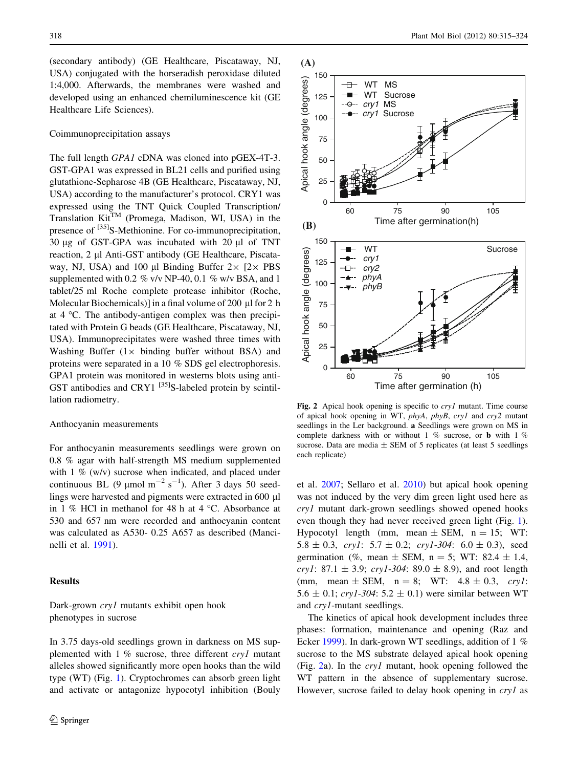<span id="page-3-0"></span>(secondary antibody) (GE Healthcare, Piscataway, NJ, USA) conjugated with the horseradish peroxidase diluted 1:4,000. Afterwards, the membranes were washed and developed using an enhanced chemiluminescence kit (GE Healthcare Life Sciences).

# Coimmunoprecipitation assays

The full length GPA1 cDNA was cloned into pGEX-4T-3. GST-GPA1 was expressed in BL21 cells and purified using glutathione-Sepharose 4B (GE Healthcare, Piscataway, NJ, USA) according to the manufacturer's protocol. CRY1 was expressed using the TNT Quick Coupled Transcription/ Translation  $Kit^{TM}$  (Promega, Madison, WI, USA) in the presence of <sup>[35]</sup>S-Methionine. For co-immunoprecipitation,  $30 \mu$ g of GST-GPA was incubated with  $20 \mu$ l of TNT reaction, 2 µl Anti-GST antibody (GE Healthcare, Piscataway, NJ, USA) and 100 µl Binding Buffer  $2 \times [2 \times PBS$ supplemented with 0.2  $\%$  v/v NP-40, 0.1  $\%$  w/v BSA, and 1 tablet/25 ml Roche complete protease inhibitor (Roche, Molecular Biochemicals)] in a final volume of 200  $\mu$ I for 2 h at  $4^{\circ}$ C. The antibody-antigen complex was then precipitated with Protein G beads (GE Healthcare, Piscataway, NJ, USA). Immunoprecipitates were washed three times with Washing Buffer  $(1 \times$  binding buffer without BSA) and proteins were separated in a 10 % SDS gel electrophoresis. GPA1 protein was monitored in westerns blots using anti-GST antibodies and CRY1  $^{[35]}S$ -labeled protein by scintillation radiometry.

#### Anthocyanin measurements

For anthocyanin measurements seedlings were grown on 0.8 % agar with half-strength MS medium supplemented with  $1\%$  (w/v) sucrose when indicated, and placed under continuous BL  $(9 \text{ \mu mol m}^{-2} \text{ s}^{-1})$ . After 3 days 50 seedlings were harvested and pigments were extracted in 600 µl in 1 % HCl in methanol for 48 h at 4  $\degree$ C. Absorbance at 530 and 657 nm were recorded and anthocyanin content was calculated as A530- 0.25 A657 as described (Mancinelli et al. [1991\)](#page-8-0).

# Results

# Dark-grown cry1 mutants exhibit open hook phenotypes in sucrose

In 3.75 days-old seedlings grown in darkness on MS supplemented with 1 % sucrose, three different cry1 mutant alleles showed significantly more open hooks than the wild type (WT) (Fig. [1](#page-2-0)). Cryptochromes can absorb green light and activate or antagonize hypocotyl inhibition (Bouly



Fig. 2 Apical hook opening is specific to cry1 mutant. Time course of apical hook opening in WT, phyA, phyB, cry1 and cry2 mutant seedlings in the Ler background. a Seedlings were grown on MS in complete darkness with or without 1 % sucrose, or **b** with 1 % sucrose. Data are media  $\pm$  SEM of 5 replicates (at least 5 seedlings each replicate)

et al. [2007](#page-7-0); Sellaro et al. [2010\)](#page-8-0) but apical hook opening was not induced by the very dim green light used here as cry1 mutant dark-grown seedlings showed opened hooks even though they had never received green light (Fig. [1](#page-2-0)). Hypocotyl length (mm, mean  $\pm$  SEM, n = 15; WT: 5.8  $\pm$  0.3, cryl: 5.7  $\pm$  0.2; cryl-304: 6.0  $\pm$  0.3), seed germination (%, mean  $\pm$  SEM, n = 5; WT: 82.4  $\pm$  1.4, cry1: 87.1  $\pm$  3.9; cry1-304: 89.0  $\pm$  8.9), and root length (mm, mean  $\pm$  SEM, n = 8; WT: 4.8  $\pm$  0.3, cryl: 5.6  $\pm$  0.1; cry1-304: 5.2  $\pm$  0.1) were similar between WT and cry1-mutant seedlings.

The kinetics of apical hook development includes three phases: formation, maintenance and opening (Raz and Ecker [1999](#page-8-0)). In dark-grown WT seedlings, addition of 1 % sucrose to the MS substrate delayed apical hook opening (Fig. 2a). In the cry1 mutant, hook opening followed the WT pattern in the absence of supplementary sucrose. However, sucrose failed to delay hook opening in cry1 as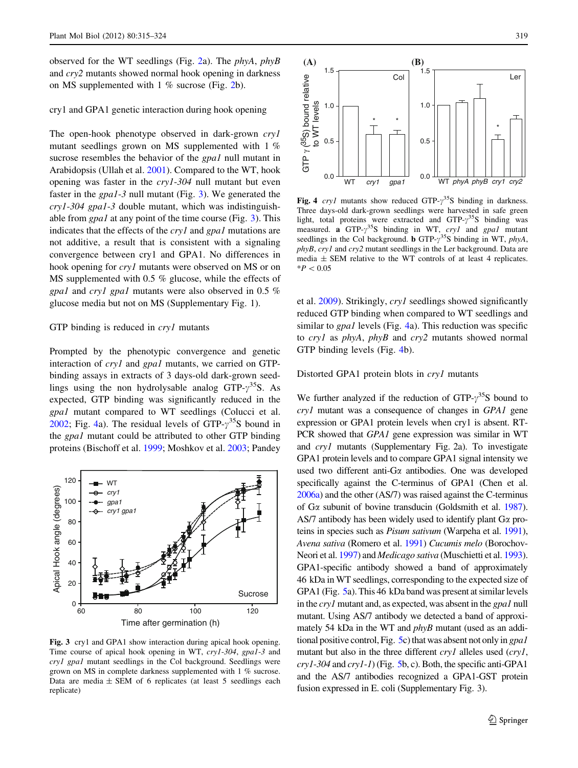<span id="page-4-0"></span>observed for the WT seedlings (Fig. [2a](#page-3-0)). The phyA, phyB and cry2 mutants showed normal hook opening in darkness on MS supplemented with  $1\%$  sucrose (Fig. [2b](#page-3-0)).

# cry1 and GPA1 genetic interaction during hook opening

The open-hook phenotype observed in dark-grown cry1 mutant seedlings grown on MS supplemented with 1 % sucrose resembles the behavior of the *gpa1* null mutant in Arabidopsis (Ullah et al. [2001](#page-8-0)). Compared to the WT, hook opening was faster in the cry1-304 null mutant but even faster in the  $gpa1-3$  null mutant (Fig. 3). We generated the cry1-304 gpa1-3 double mutant, which was indistinguishable from  $\text{g}\text{p}a\textit{l}$  at any point of the time course (Fig. 3). This indicates that the effects of the *cryl* and *gpal* mutations are not additive, a result that is consistent with a signaling convergence between cry1 and GPA1. No differences in hook opening for cry1 mutants were observed on MS or on MS supplemented with 0.5 % glucose, while the effects of gpa1 and cry1 gpa1 mutants were also observed in 0.5 % glucose media but not on MS (Supplementary Fig. 1).

# GTP binding is reduced in *cryl* mutants

Prompted by the phenotypic convergence and genetic interaction of *cryl* and *gpal* mutants, we carried on GTPbinding assays in extracts of 3 days-old dark-grown seedlings using the non hydrolysable analog  $GTP-\gamma^{35}S$ . As expected, GTP binding was significantly reduced in the gpa1 mutant compared to WT seedlings (Colucci et al. [2002;](#page-7-0) Fig. 4a). The residual levels of GTP- $\gamma^{35}$ S bound in the *gpa1* mutant could be attributed to other GTP binding proteins (Bischoff et al. [1999;](#page-7-0) Moshkov et al. [2003](#page-8-0); Pandey



Fig. 3 cry1 and GPA1 show interaction during apical hook opening. Time course of apical hook opening in WT, cry1-304, gpa1-3 and cry1 gpa1 mutant seedlings in the Col background. Seedlings were grown on MS in complete darkness supplemented with 1 % sucrose. Data are media  $\pm$  SEM of 6 replicates (at least 5 seedlings each replicate)



Fig. 4 cryl mutants show reduced GTP- $\gamma^{35}$ S binding in darkness. Three days-old dark-grown seedlings were harvested in safe green light, total proteins were extracted and  $GTP-\gamma^{35}S$  binding was measured. a GTP- $\gamma^{35}$ S binding in WT, cryl and gpal mutant seedlings in the Col background. **b** GTP- $\gamma^{35}$ S binding in WT, phyA, phyB, cry1 and cry2 mutant seedlings in the Ler background. Data are media  $\pm$  SEM relative to the WT controls of at least 4 replicates.  $*P<0.05$ 

et al. [2009](#page-8-0)). Strikingly, cry1 seedlings showed significantly reduced GTP binding when compared to WT seedlings and similar to *gpa1* levels (Fig. 4a). This reduction was specific to cry1 as phyA, phyB and cry2 mutants showed normal GTP binding levels (Fig. 4b).

Distorted GPA1 protein blots in cry1 mutants

We further analyzed if the reduction of  $GTP-\gamma^{35}S$  bound to cry1 mutant was a consequence of changes in GPA1 gene expression or GPA1 protein levels when cry1 is absent. RT-PCR showed that GPA1 gene expression was similar in WT and cry1 mutants (Supplementary Fig. 2a). To investigate GPA1 protein levels and to compare GPA1 signal intensity we used two different anti-Ga antibodies. One was developed specifically against the C-terminus of GPA1 (Chen et al. [2006a\)](#page-7-0) and the other (AS/7) was raised against the C-terminus of Ga subunit of bovine transducin (Goldsmith et al. [1987\)](#page-8-0). AS/7 antibody has been widely used to identify plant  $G\alpha$  proteins in species such as Pisum sativum (Warpeha et al. [1991\)](#page-8-0), Avena sativa (Romero et al. [1991](#page-8-0)) Cucumis melo (Borochov-Neori et al. [1997\)](#page-7-0) and Medicago sativa (Muschietti et al. [1993\)](#page-8-0). GPA1-specific antibody showed a band of approximately 46 kDa in WT seedlings, corresponding to the expected size of GPA1 (Fig. [5](#page-5-0)a). This 46 kDa band was present at similar levels in the *cryl* mutant and, as expected, was absent in the *gpal* null mutant. Using AS/7 antibody we detected a band of approximately 54 kDa in the WT and phyB mutant (used as an additional positive control, Fig. [5](#page-5-0)c) that was absent not only in gpa1 mutant but also in the three different cryl alleles used (cryl,  $cryl$ -304 and  $cryl$ -1) (Fig. [5](#page-5-0)b, c). Both, the specific anti-GPA1 and the AS/7 antibodies recognized a GPA1-GST protein fusion expressed in E. coli (Supplementary Fig. 3).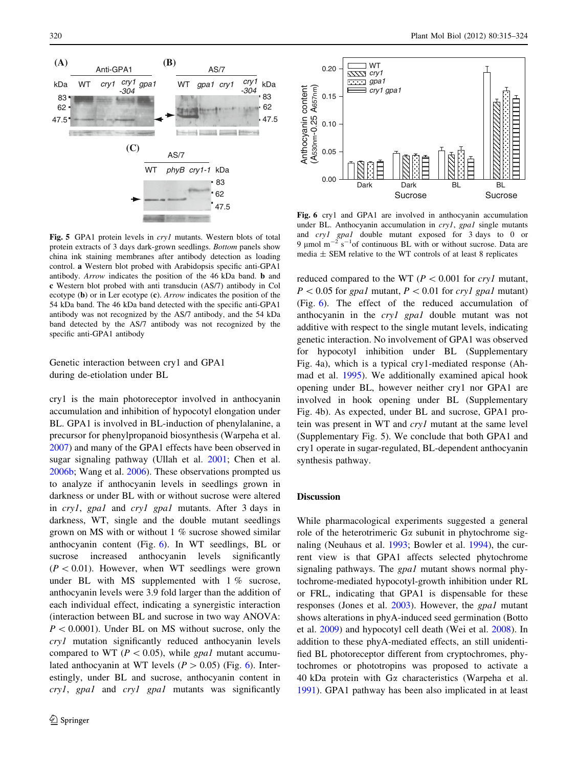<span id="page-5-0"></span>

Fig. 5 GPA1 protein levels in cry1 mutants. Western blots of total protein extracts of 3 days dark-grown seedlings. Bottom panels show china ink staining membranes after antibody detection as loading control. a Western blot probed with Arabidopsis specific anti-GPA1 antibody. Arrow indicates the position of the 46 kDa band. b and c Western blot probed with anti transducin (AS/7) antibody in Col ecotype (b) or in Ler ecotype (c). Arrow indicates the position of the 54 kDa band. The 46 kDa band detected with the specific anti-GPA1 antibody was not recognized by the AS/7 antibody, and the 54 kDa band detected by the AS/7 antibody was not recognized by the specific anti-GPA1 antibody

Genetic interaction between cry1 and GPA1 during de-etiolation under BL

cry1 is the main photoreceptor involved in anthocyanin accumulation and inhibition of hypocotyl elongation under BL. GPA1 is involved in BL-induction of phenylalanine, a precursor for phenylpropanoid biosynthesis (Warpeha et al. [2007\)](#page-8-0) and many of the GPA1 effects have been observed in sugar signaling pathway (Ullah et al. [2001](#page-8-0); Chen et al. [2006b;](#page-7-0) Wang et al. [2006\)](#page-8-0). These observations prompted us to analyze if anthocyanin levels in seedlings grown in darkness or under BL with or without sucrose were altered in cry1, gpa1 and cry1 gpa1 mutants. After 3 days in darkness, WT, single and the double mutant seedlings grown on MS with or without 1 % sucrose showed similar anthocyanin content (Fig. 6). In WT seedlings, BL or sucrose increased anthocyanin levels significantly  $(P<0.01)$ . However, when WT seedlings were grown under BL with MS supplemented with  $1\%$  sucrose, anthocyanin levels were 3.9 fold larger than the addition of each individual effect, indicating a synergistic interaction (interaction between BL and sucrose in two way ANOVA:  $P < 0.0001$ ). Under BL on MS without sucrose, only the cry1 mutation significantly reduced anthocyanin levels compared to WT ( $P < 0.05$ ), while gpa1 mutant accumulated anthocyanin at WT levels ( $P > 0.05$ ) (Fig. 6). Interestingly, under BL and sucrose, anthocyanin content in cry1, gpa1 and cry1 gpa1 mutants was significantly



Fig. 6 cry1 and GPA1 are involved in anthocyanin accumulation under BL. Anthocyanin accumulation in  $cryl$ , gpal single mutants and *cryl gpal* double mutant exposed for 3 days to 0 or 9  $\mu$ mol m<sup>-2</sup> s<sup>-1</sup> of continuous BL with or without sucrose. Data are  $\sum_{n=0}^{\infty}$  s<sup>-1</sup>of continuous BL with or without sucrose. Data are media  $\pm$  SEM relative to the WT controls of at least 8 replicates

reduced compared to the WT ( $P < 0.001$  for cryl mutant,  $P\leq0.05$  for gpa1 mutant,  $P\leq0.01$  for cry1 gpa1 mutant) (Fig. 6). The effect of the reduced accumulation of anthocyanin in the cry1 gpa1 double mutant was not additive with respect to the single mutant levels, indicating genetic interaction. No involvement of GPA1 was observed for hypocotyl inhibition under BL (Supplementary Fig. 4a), which is a typical cry1-mediated response (Ahmad et al. [1995\)](#page-7-0). We additionally examined apical hook opening under BL, however neither cry1 nor GPA1 are involved in hook opening under BL (Supplementary Fig. 4b). As expected, under BL and sucrose, GPA1 protein was present in WT and cry1 mutant at the same level (Supplementary Fig. 5). We conclude that both GPA1 and cry1 operate in sugar-regulated, BL-dependent anthocyanin synthesis pathway.

# Discussion

While pharmacological experiments suggested a general role of the heterotrimeric  $G\alpha$  subunit in phytochrome signaling (Neuhaus et al. [1993](#page-8-0); Bowler et al. [1994](#page-7-0)), the current view is that GPA1 affects selected phytochrome signaling pathways. The *gpa1* mutant shows normal phytochrome-mediated hypocotyl-growth inhibition under RL or FRL, indicating that GPA1 is dispensable for these responses (Jones et al. [2003](#page-8-0)). However, the gpa1 mutant shows alterations in phyA-induced seed germination (Botto et al. [2009\)](#page-7-0) and hypocotyl cell death (Wei et al. [2008\)](#page-9-0). In addition to these phyA-mediated effects, an still unidentified BL photoreceptor different from cryptochromes, phytochromes or phototropins was proposed to activate a 40 kDa protein with Ga characteristics (Warpeha et al. [1991](#page-8-0)). GPA1 pathway has been also implicated in at least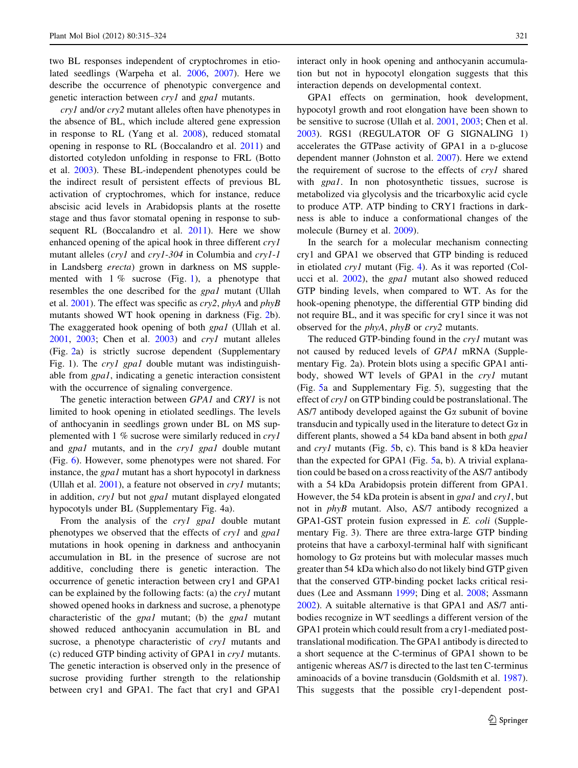two BL responses independent of cryptochromes in etiolated seedlings (Warpeha et al. [2006,](#page-8-0) [2007\)](#page-8-0). Here we describe the occurrence of phenotypic convergence and genetic interaction between cry1 and gpa1 mutants.

cry1 and/or cry2 mutant alleles often have phenotypes in the absence of BL, which include altered gene expression in response to RL (Yang et al. [2008](#page-9-0)), reduced stomatal opening in response to RL (Boccalandro et al. [2011\)](#page-7-0) and distorted cotyledon unfolding in response to FRL (Botto et al. [2003](#page-7-0)). These BL-independent phenotypes could be the indirect result of persistent effects of previous BL activation of cryptochromes, which for instance, reduce abscisic acid levels in Arabidopsis plants at the rosette stage and thus favor stomatal opening in response to subsequent RL (Boccalandro et al. [2011](#page-7-0)). Here we show enhanced opening of the apical hook in three different cry1 mutant alleles (cry1 and cry1-304 in Columbia and cry1-1 in Landsberg erecta) grown in darkness on MS supplemented with  $1\%$  sucrose (Fig. [1\)](#page-2-0), a phenotype that resembles the one described for the *gpa1* mutant (Ullah et al. [2001\)](#page-8-0). The effect was specific as cry2, phyA and phyB mutants showed WT hook opening in darkness (Fig. [2](#page-3-0)b). The exaggerated hook opening of both gpa1 (Ullah et al. [2001,](#page-8-0) [2003;](#page-8-0) Chen et al. [2003\)](#page-7-0) and cry1 mutant alleles (Fig. [2](#page-3-0)a) is strictly sucrose dependent (Supplementary Fig. 1). The *cryl gpal* double mutant was indistinguishable from gpa1, indicating a genetic interaction consistent with the occurrence of signaling convergence.

The genetic interaction between GPA1 and CRY1 is not limited to hook opening in etiolated seedlings. The levels of anthocyanin in seedlings grown under BL on MS supplemented with 1 % sucrose were similarly reduced in cry1 and *gpa1* mutants, and in the *cry1 gpa1* double mutant (Fig. [6](#page-5-0)). However, some phenotypes were not shared. For instance, the *gpa1* mutant has a short hypocotyl in darkness (Ullah et al.  $2001$ ), a feature not observed in  $\frac{cry}{l}$  mutants; in addition, cry1 but not gpa1 mutant displayed elongated hypocotyls under BL (Supplementary Fig. 4a).

From the analysis of the *cryl gpal* double mutant phenotypes we observed that the effects of cry1 and gpa1 mutations in hook opening in darkness and anthocyanin accumulation in BL in the presence of sucrose are not additive, concluding there is genetic interaction. The occurrence of genetic interaction between cry1 and GPA1 can be explained by the following facts: (a) the cry1 mutant showed opened hooks in darkness and sucrose, a phenotype characteristic of the *gpa1* mutant; (b) the *gpa1* mutant showed reduced anthocyanin accumulation in BL and sucrose, a phenotype characteristic of *cryl* mutants and (c) reduced GTP binding activity of GPA1 in cry1 mutants. The genetic interaction is observed only in the presence of sucrose providing further strength to the relationship between cry1 and GPA1. The fact that cry1 and GPA1

interact only in hook opening and anthocyanin accumulation but not in hypocotyl elongation suggests that this interaction depends on developmental context.

GPA1 effects on germination, hook development, hypocotyl growth and root elongation have been shown to be sensitive to sucrose (Ullah et al. [2001,](#page-8-0) [2003](#page-8-0); Chen et al. [2003](#page-7-0)). RGS1 (REGULATOR OF G SIGNALING 1) accelerates the GTPase activity of GPA1 in a D-glucose dependent manner (Johnston et al. [2007](#page-8-0)). Here we extend the requirement of sucrose to the effects of cry1 shared with *gpa1*. In non photosynthetic tissues, sucrose is metabolized via glycolysis and the tricarboxylic acid cycle to produce ATP. ATP binding to CRY1 fractions in darkness is able to induce a conformational changes of the molecule (Burney et al. [2009\)](#page-7-0).

In the search for a molecular mechanism connecting cry1 and GPA1 we observed that GTP binding is reduced in etiolated cry1 mutant (Fig. [4](#page-4-0)). As it was reported (Colucci et al. [2002](#page-7-0)), the gpa1 mutant also showed reduced GTP binding levels, when compared to WT. As for the hook-opening phenotype, the differential GTP binding did not require BL, and it was specific for cry1 since it was not observed for the phyA, phyB or cry2 mutants.

The reduced GTP-binding found in the  $cryl$  mutant was not caused by reduced levels of GPA1 mRNA (Supplementary Fig. 2a). Protein blots using a specific GPA1 antibody, showed WT levels of GPA1 in the cry1 mutant (Fig. [5a](#page-5-0) and Supplementary Fig. 5), suggesting that the effect of cry1 on GTP binding could be postranslational. The AS/7 antibody developed against the  $G\alpha$  subunit of bovine transducin and typically used in the literature to detect  $G\alpha$  in different plants, showed a 54 kDa band absent in both gpa1 and cry1 mutants (Fig. [5b](#page-5-0), c). This band is 8 kDa heavier than the expected for GPA1 (Fig. [5](#page-5-0)a, b). A trivial explanation could be based on a cross reactivity of the AS/7 antibody with a 54 kDa Arabidopsis protein different from GPA1. However, the 54 kDa protein is absent in gpal and cryl, but not in phyB mutant. Also, AS/7 antibody recognized a GPA1-GST protein fusion expressed in E. coli (Supplementary Fig. 3). There are three extra-large GTP binding proteins that have a carboxyl-terminal half with significant homology to G $\alpha$  proteins but with molecular masses much greater than 54 kDa which also do not likely bind GTP given that the conserved GTP-binding pocket lacks critical residues (Lee and Assmann [1999;](#page-8-0) Ding et al. [2008;](#page-7-0) Assmann [2002](#page-7-0)). A suitable alternative is that GPA1 and AS/7 antibodies recognize in WT seedlings a different version of the GPA1 protein which could result from a cry1-mediated posttranslational modification. The GPA1 antibody is directed to a short sequence at the C-terminus of GPA1 shown to be antigenic whereas AS/7 is directed to the last ten C-terminus aminoacids of a bovine transducin (Goldsmith et al. [1987](#page-8-0)). This suggests that the possible cry1-dependent post-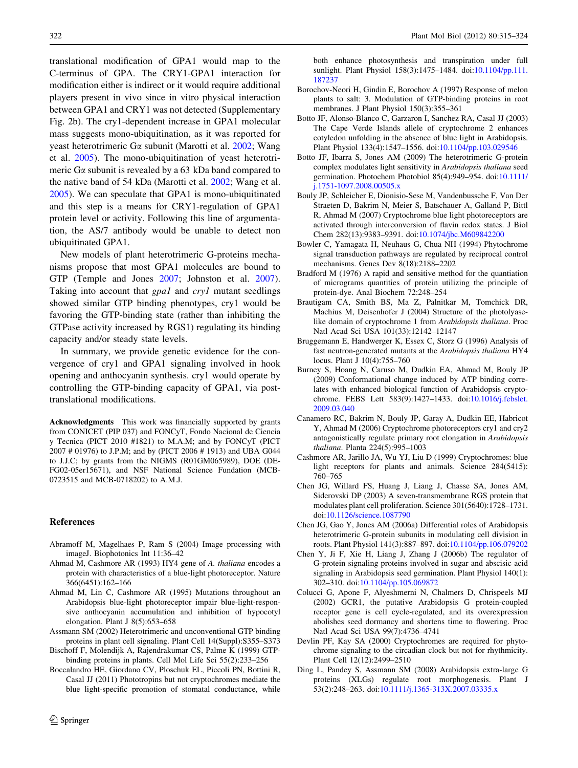<span id="page-7-0"></span>translational modification of GPA1 would map to the C-terminus of GPA. The CRY1-GPA1 interaction for modification either is indirect or it would require additional players present in vivo since in vitro physical interaction between GPA1 and CRY1 was not detected (Supplementary Fig. 2b). The cry1-dependent increase in GPA1 molecular mass suggests mono-ubiquitination, as it was reported for yeast heterotrimeric Ga subunit (Marotti et al. [2002;](#page-8-0) Wang et al. [2005\)](#page-8-0). The mono-ubiquitination of yeast heterotrimeric Ga subunit is revealed by a 63 kDa band compared to the native band of 54 kDa (Marotti et al. [2002](#page-8-0); Wang et al. [2005\)](#page-8-0). We can speculate that GPA1 is mono-ubiquitinated and this step is a means for CRY1-regulation of GPA1 protein level or activity. Following this line of argumentation, the AS/7 antibody would be unable to detect non ubiquitinated GPA1.

New models of plant heterotrimeric G-proteins mechanisms propose that most GPA1 molecules are bound to GTP (Temple and Jones [2007](#page-8-0); Johnston et al. [2007](#page-8-0)). Taking into account that *gpa1* and *cry1* mutant seedlings showed similar GTP binding phenotypes, cry1 would be favoring the GTP-binding state (rather than inhibiting the GTPase activity increased by RGS1) regulating its binding capacity and/or steady state levels.

In summary, we provide genetic evidence for the convergence of cry1 and GPA1 signaling involved in hook opening and anthocyanin synthesis. cry1 would operate by controlling the GTP-binding capacity of GPA1, via posttranslational modifications.

Acknowledgments This work was financially supported by grants from CONICET (PIP 037) and FONCyT, Fondo Nacional de Ciencia y Tecnica (PICT 2010 #1821) to M.A.M; and by FONCyT (PICT 2007 # 01976) to J.P.M; and by (PICT 2006 # 1913) and UBA G044 to J.J.C; by grants from the NIGMS (R01GM065989), DOE (DE-FG02-05er15671), and NSF National Science Fundation (MCB-0723515 and MCB-0718202) to A.M.J.

#### References

- Abramoff M, Magelhaes P, Ram S (2004) Image processing with imageJ. Biophotonics Int 11:36–42
- Ahmad M, Cashmore AR (1993) HY4 gene of A. thaliana encodes a protein with characteristics of a blue-light photoreceptor. Nature 366(6451):162–166
- Ahmad M, Lin C, Cashmore AR (1995) Mutations throughout an Arabidopsis blue-light photoreceptor impair blue-light-responsive anthocyanin accumulation and inhibition of hypocotyl elongation. Plant J 8(5):653–658
- Assmann SM (2002) Heterotrimeric and unconventional GTP binding proteins in plant cell signaling. Plant Cell 14(Suppl):S355–S373
- Bischoff F, Molendijk A, Rajendrakumar CS, Palme K (1999) GTPbinding proteins in plants. Cell Mol Life Sci 55(2):233–256
- Boccalandro HE, Giordano CV, Ploschuk EL, Piccoli PN, Bottini R, Casal JJ (2011) Phototropins but not cryptochromes mediate the blue light-specific promotion of stomatal conductance, while

both enhance photosynthesis and transpiration under full sunlight. Plant Physiol 158(3):1475–1484. doi:[10.1104/pp.111.](http://dx.doi.org/10.1104/pp.111.187237) [187237](http://dx.doi.org/10.1104/pp.111.187237)

- Borochov-Neori H, Gindin E, Borochov A (1997) Response of melon plants to salt: 3. Modulation of GTP-binding proteins in root membranes. J Plant Physiol 150(3):355–361
- Botto JF, Alonso-Blanco C, Garzaron I, Sanchez RA, Casal JJ (2003) The Cape Verde Islands allele of cryptochrome 2 enhances cotyledon unfolding in the absence of blue light in Arabidopsis. Plant Physiol 133(4):1547–1556. doi:[10.1104/pp.103.029546](http://dx.doi.org/10.1104/pp.103.029546)
- Botto JF, Ibarra S, Jones AM (2009) The heterotrimeric G-protein complex modulates light sensitivity in Arabidopsis thaliana seed germination. Photochem Photobiol 85(4):949–954. doi[:10.1111/](http://dx.doi.org/10.1111/j.1751-1097.2008.00505.x) [j.1751-1097.2008.00505.x](http://dx.doi.org/10.1111/j.1751-1097.2008.00505.x)
- Bouly JP, Schleicher E, Dionisio-Sese M, Vandenbussche F, Van Der Straeten D, Bakrim N, Meier S, Batschauer A, Galland P, Bittl R, Ahmad M (2007) Cryptochrome blue light photoreceptors are activated through interconversion of flavin redox states. J Biol Chem 282(13):9383–9391. doi:[10.1074/jbc.M609842200](http://dx.doi.org/10.1074/jbc.M609842200)
- Bowler C, Yamagata H, Neuhaus G, Chua NH (1994) Phytochrome signal transduction pathways are regulated by reciprocal control mechanisms. Genes Dev 8(18):2188–2202
- Bradford M (1976) A rapid and sensitive method for the quantiation of micrograms quantities of protein utilizing the principle of protein-dye. Anal Biochem 72:248–254
- Brautigam CA, Smith BS, Ma Z, Palnitkar M, Tomchick DR, Machius M, Deisenhofer J (2004) Structure of the photolyaselike domain of cryptochrome 1 from Arabidopsis thaliana. Proc Natl Acad Sci USA 101(33):12142–12147
- Bruggemann E, Handwerger K, Essex C, Storz G (1996) Analysis of fast neutron-generated mutants at the Arabidopsis thaliana HY4 locus. Plant J 10(4):755–760
- Burney S, Hoang N, Caruso M, Dudkin EA, Ahmad M, Bouly JP (2009) Conformational change induced by ATP binding correlates with enhanced biological function of Arabidopsis cryptochrome. FEBS Lett 583(9):1427–1433. doi[:10.1016/j.febslet.](http://dx.doi.org/10.1016/j.febslet.2009.03.040) [2009.03.040](http://dx.doi.org/10.1016/j.febslet.2009.03.040)
- Canamero RC, Bakrim N, Bouly JP, Garay A, Dudkin EE, Habricot Y, Ahmad M (2006) Cryptochrome photoreceptors cry1 and cry2 antagonistically regulate primary root elongation in Arabidopsis thaliana. Planta 224(5):995–1003
- Cashmore AR, Jarillo JA, Wu YJ, Liu D (1999) Cryptochromes: blue light receptors for plants and animals. Science 284(5415): 760–765
- Chen JG, Willard FS, Huang J, Liang J, Chasse SA, Jones AM, Siderovski DP (2003) A seven-transmembrane RGS protein that modulates plant cell proliferation. Science 301(5640):1728–1731. doi[:10.1126/science.1087790](http://dx.doi.org/10.1126/science.1087790)
- Chen JG, Gao Y, Jones AM (2006a) Differential roles of Arabidopsis heterotrimeric G-protein subunits in modulating cell division in roots. Plant Physiol 141(3):887–897. doi:[10.1104/pp.106.079202](http://dx.doi.org/10.1104/pp.106.079202)
- Chen Y, Ji F, Xie H, Liang J, Zhang J (2006b) The regulator of G-protein signaling proteins involved in sugar and abscisic acid signaling in Arabidopsis seed germination. Plant Physiol 140(1): 302–310. doi:[10.1104/pp.105.069872](http://dx.doi.org/10.1104/pp.105.069872)
- Colucci G, Apone F, Alyeshmerni N, Chalmers D, Chrispeels MJ (2002) GCR1, the putative Arabidopsis G protein-coupled receptor gene is cell cycle-regulated, and its overexpression abolishes seed dormancy and shortens time to flowering. Proc Natl Acad Sci USA 99(7):4736–4741
- Devlin PF, Kay SA (2000) Cryptochromes are required for phytochrome signaling to the circadian clock but not for rhythmicity. Plant Cell 12(12):2499–2510
- Ding L, Pandey S, Assmann SM (2008) Arabidopsis extra-large G proteins (XLGs) regulate root morphogenesis. Plant J 53(2):248–263. doi:[10.1111/j.1365-313X.2007.03335.x](http://dx.doi.org/10.1111/j.1365-313X.2007.03335.x)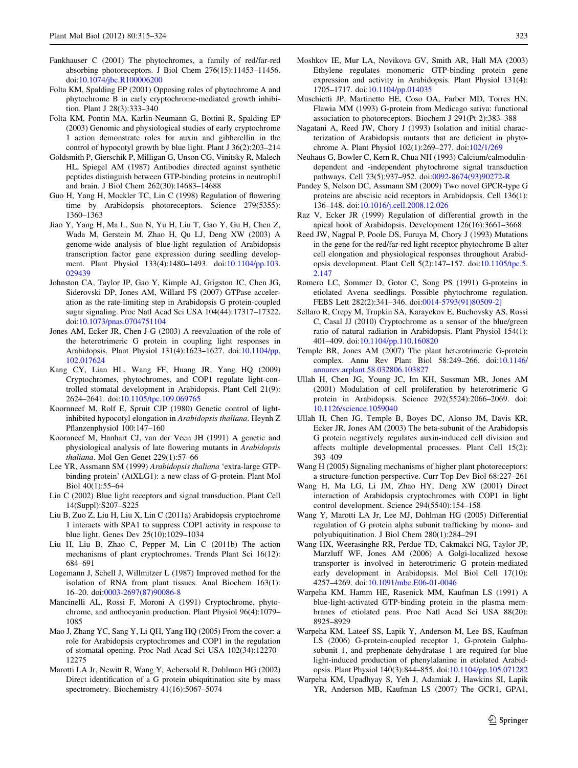- <span id="page-8-0"></span>Fankhauser C (2001) The phytochromes, a family of red/far-red absorbing photoreceptors. J Biol Chem 276(15):11453–11456. doi[:10.1074/jbc.R100006200](http://dx.doi.org/10.1074/jbc.R100006200)
- Folta KM, Spalding EP (2001) Opposing roles of phytochrome A and phytochrome B in early cryptochrome-mediated growth inhibition. Plant J 28(3):333–340
- Folta KM, Pontin MA, Karlin-Neumann G, Bottini R, Spalding EP (2003) Genomic and physiological studies of early cryptochrome 1 action demonstrate roles for auxin and gibberellin in the control of hypocotyl growth by blue light. Plant J 36(2):203–214
- Goldsmith P, Gierschik P, Milligan G, Unson CG, Vinitsky R, Malech HL, Spiegel AM (1987) Antibodies directed against synthetic peptides distinguish between GTP-binding proteins in neutrophil and brain. J Biol Chem 262(30):14683–14688
- Guo H, Yang H, Mockler TC, Lin C (1998) Regulation of flowering time by Arabidopsis photoreceptors. Science 279(5355): 1360–1363
- Jiao Y, Yang H, Ma L, Sun N, Yu H, Liu T, Gao Y, Gu H, Chen Z, Wada M, Gerstein M, Zhao H, Qu LJ, Deng XW (2003) A genome-wide analysis of blue-light regulation of Arabidopsis transcription factor gene expression during seedling development. Plant Physiol 133(4):1480–1493. doi:[10.1104/pp.103.](http://dx.doi.org/10.1104/pp.103.029439) [029439](http://dx.doi.org/10.1104/pp.103.029439)
- Johnston CA, Taylor JP, Gao Y, Kimple AJ, Grigston JC, Chen JG, Siderovski DP, Jones AM, Willard FS (2007) GTPase acceleration as the rate-limiting step in Arabidopsis G protein-coupled sugar signaling. Proc Natl Acad Sci USA 104(44):17317–17322. doi[:10.1073/pnas.0704751104](http://dx.doi.org/10.1073/pnas.0704751104)
- Jones AM, Ecker JR, Chen J-G (2003) A reevaluation of the role of the heterotrimeric G protein in coupling light responses in Arabidopsis. Plant Physiol 131(4):1623–1627. doi:[10.1104/pp.](http://dx.doi.org/10.1104/pp.102.017624) [102.017624](http://dx.doi.org/10.1104/pp.102.017624)
- Kang CY, Lian HL, Wang FF, Huang JR, Yang HQ (2009) Cryptochromes, phytochromes, and COP1 regulate light-controlled stomatal development in Arabidopsis. Plant Cell 21(9): 2624–2641. doi[:10.1105/tpc.109.069765](http://dx.doi.org/10.1105/tpc.109.069765)
- Koornneef M, Rolf E, Spruit CJP (1980) Genetic control of lightinhibited hypocotyl elongation in Arabidopsis thaliana. Heynh Z Pflanzenphysiol 100:147–160
- Koornneef M, Hanhart CJ, van der Veen JH (1991) A genetic and physiological analysis of late flowering mutants in Arabidopsis thaliana. Mol Gen Genet 229(1):57–66
- Lee YR, Assmann SM (1999) Arabidopsis thaliana 'extra-large GTPbinding protein' (AtXLG1): a new class of G-protein. Plant Mol Biol 40(1):55–64
- Lin C (2002) Blue light receptors and signal transduction. Plant Cell 14(Suppl):S207–S225
- Liu B, Zuo Z, Liu H, Liu X, Lin C (2011a) Arabidopsis cryptochrome 1 interacts with SPA1 to suppress COP1 activity in response to blue light. Genes Dev 25(10):1029–1034
- Liu H, Liu B, Zhao C, Pepper M, Lin C (2011b) The action mechanisms of plant cryptochromes. Trends Plant Sci 16(12): 684–691
- Logemann J, Schell J, Willmitzer L (1987) Improved method for the isolation of RNA from plant tissues. Anal Biochem 163(1): 16–20. doi[:0003-2697\(87\)90086-8](http://dx.doi.org/0003-2697(87)90086-8)
- Mancinelli AL, Rossi F, Moroni A (1991) Cryptochrome, phytochrome, and anthocyanin production. Plant Physiol 96(4):1079– 1085
- Mao J, Zhang YC, Sang Y, Li QH, Yang HQ (2005) From the cover: a role for Arabidopsis cryptochromes and COP1 in the regulation of stomatal opening. Proc Natl Acad Sci USA 102(34):12270– 12275
- Marotti LA Jr, Newitt R, Wang Y, Aebersold R, Dohlman HG (2002) Direct identification of a G protein ubiquitination site by mass spectrometry. Biochemistry 41(16):5067–5074
- Moshkov IE, Mur LA, Novikova GV, Smith AR, Hall MA (2003) Ethylene regulates monomeric GTP-binding protein gene expression and activity in Arabidopsis. Plant Physiol 131(4): 1705–1717. doi[:10.1104/pp.014035](http://dx.doi.org/10.1104/pp.014035)
- Muschietti JP, Martinetto HE, Coso OA, Farber MD, Torres HN, Flawia MM (1993) G-protein from Medicago sativa: functional association to photoreceptors. Biochem J 291(Pt 2):383–388
- Nagatani A, Reed JW, Chory J (1993) Isolation and initial characterization of Arabidopsis mutants that are deficient in phytochrome A. Plant Physiol 102(1):269–277. doi:[102/1/269](http://dx.doi.org/102/1/269)
- Neuhaus G, Bowler C, Kern R, Chua NH (1993) Calcium/calmodulindependent and -independent phytochrome signal transduction pathways. Cell 73(5):937–952. doi:[0092-8674\(93\)90272-R](http://dx.doi.org/0092-8674(93)90272-R)
- Pandey S, Nelson DC, Assmann SM (2009) Two novel GPCR-type G proteins are abscisic acid receptors in Arabidopsis. Cell 136(1): 136–148. doi:[10.1016/j.cell.2008.12.026](http://dx.doi.org/10.1016/j.cell.2008.12.026)
- Raz V, Ecker JR (1999) Regulation of differential growth in the apical hook of Arabidopsis. Development 126(16):3661–3668
- Reed JW, Nagpal P, Poole DS, Furuya M, Chory J (1993) Mutations in the gene for the red/far-red light receptor phytochrome B alter cell elongation and physiological responses throughout Arabidopsis development. Plant Cell 5(2):147–157. doi[:10.1105/tpc.5.](http://dx.doi.org/10.1105/tpc.5.2.147) [2.147](http://dx.doi.org/10.1105/tpc.5.2.147)
- Romero LC, Sommer D, Gotor C, Song PS (1991) G-proteins in etiolated Avena seedlings. Possible phytochrome regulation. FEBS Lett 282(2):341–346. doi:[0014-5793\(91\)80509-2\]](http://dx.doi.org/0014-5793(91)80509-2])
- Sellaro R, Crepy M, Trupkin SA, Karayekov E, Buchovsky AS, Rossi C, Casal JJ (2010) Cryptochrome as a sensor of the blue/green ratio of natural radiation in Arabidopsis. Plant Physiol 154(1): 401–409. doi:[10.1104/pp.110.160820](http://dx.doi.org/10.1104/pp.110.160820)
- Temple BR, Jones AM (2007) The plant heterotrimeric G-protein complex. Annu Rev Plant Biol 58:249–266. doi[:10.1146/](http://dx.doi.org/10.1146/annurev.arplant.58.032806.103827) [annurev.arplant.58.032806.103827](http://dx.doi.org/10.1146/annurev.arplant.58.032806.103827)
- Ullah H, Chen JG, Young JC, Im KH, Sussman MR, Jones AM (2001) Modulation of cell proliferation by heterotrimeric G protein in Arabidopsis. Science 292(5524):2066–2069. doi: [10.1126/science.1059040](http://dx.doi.org/10.1126/science.1059040)
- Ullah H, Chen JG, Temple B, Boyes DC, Alonso JM, Davis KR, Ecker JR, Jones AM (2003) The beta-subunit of the Arabidopsis G protein negatively regulates auxin-induced cell division and affects multiple developmental processes. Plant Cell 15(2): 393–409
- Wang H (2005) Signaling mechanisms of higher plant photoreceptors: a structure-function perspective. Curr Top Dev Biol 68:227–261
- Wang H, Ma LG, Li JM, Zhao HY, Deng XW (2001) Direct interaction of Arabidopsis cryptochromes with COP1 in light control development. Science 294(5540):154–158
- Wang Y, Marotti LA Jr, Lee MJ, Dohlman HG (2005) Differential regulation of G protein alpha subunit trafficking by mono- and polyubiquitination. J Biol Chem 280(1):284–291
- Wang HX, Weerasinghe RR, Perdue TD, Cakmakci NG, Taylor JP, Marzluff WF, Jones AM (2006) A Golgi-localized hexose transporter is involved in heterotrimeric G protein-mediated early development in Arabidopsis. Mol Biol Cell 17(10): 4257–4269. doi[:10.1091/mbc.E06-01-0046](http://dx.doi.org/10.1091/mbc.E06-01-0046)
- Warpeha KM, Hamm HE, Rasenick MM, Kaufman LS (1991) A blue-light-activated GTP-binding protein in the plasma membranes of etiolated peas. Proc Natl Acad Sci USA 88(20): 8925–8929
- Warpeha KM, Lateef SS, Lapik Y, Anderson M, Lee BS, Kaufman LS (2006) G-protein-coupled receptor 1, G-protein Galphasubunit 1, and prephenate dehydratase 1 are required for blue light-induced production of phenylalanine in etiolated Arabidopsis. Plant Physiol 140(3):844–855. doi:[10.1104/pp.105.071282](http://dx.doi.org/10.1104/pp.105.071282)
- Warpeha KM, Upadhyay S, Yeh J, Adamiak J, Hawkins SI, Lapik YR, Anderson MB, Kaufman LS (2007) The GCR1, GPA1,